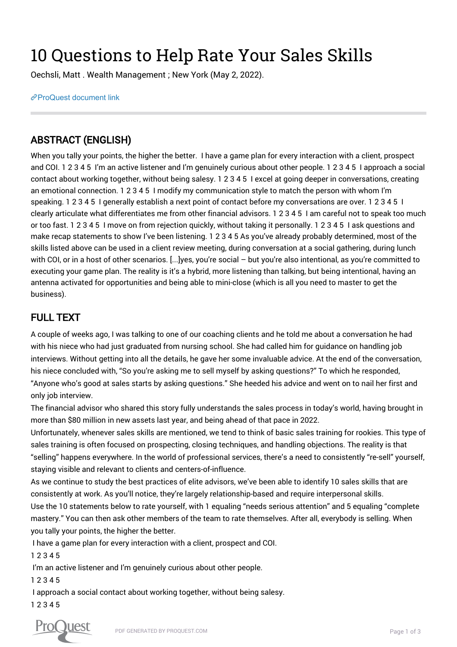## 10 Questions to Help Rate Your Sales Skills

Oechsli, Matt . Wealth Management ; New York (May 2, 2022).

[ProQuest document link](https://www.proquest.com/trade-journals/10-questions-help-rate-your-sales-skills/docview/2658254942/se-2?accountid=44910)

## ABSTRACT (ENGLISH)

When you tally your points, the higher the better. I have a game plan for every interaction with a client, prospect and COI. 1 2 3 4 5 I'm an active listener and I'm genuinely curious about other people. 1 2 3 4 5 I approach a social contact about working together, without being salesy. 1 2 3 4 5 I excel at going deeper in conversations, creating an emotional connection. 1 2 3 4 5 I modify my communication style to match the person with whom I'm speaking. 1 2 3 4 5 I generally establish a next point of contact before my conversations are over. 1 2 3 4 5 I clearly articulate what differentiates me from other financial advisors. 1 2 3 4 5 I am careful not to speak too much or too fast. 1 2 3 4 5 I move on from rejection quickly, without taking it personally. 1 2 3 4 5 I ask questions and make recap statements to show I've been listening. 1 2 3 4 5 As you've already probably determined, most of the skills listed above can be used in a client review meeting, during conversation at a social gathering, during lunch with COI, or in a host of other scenarios. [...]yes, you're social – but you're also intentional, as you're committed to executing your game plan. The reality is it's a hybrid, more listening than talking, but being intentional, having an antenna activated for opportunities and being able to mini-close (which is all you need to master to get the business).

## FULL TEXT

A couple of weeks ago, I was talking to one of our coaching clients and he told me about a conversation he had with his niece who had just graduated from nursing school. She had called him for guidance on handling job interviews. Without getting into all the details, he gave her some invaluable advice. At the end of the conversation, his niece concluded with, "So you're asking me to sell myself by asking questions?" To which he responded, "Anyone who's good at sales starts by asking questions." She heeded his advice and went on to nail her first and only job interview.

The financial advisor who shared this story fully understands the sales process in today's world, having brought in more than \$80 million in new assets last year, and being ahead of that pace in 2022.

Unfortunately, whenever sales skills are mentioned, we tend to think of basic sales training for rookies. This type of sales training is often focused on prospecting, closing techniques, and handling objections. The reality is that "selling" happens everywhere. In the world of professional services, there's a need to consistently "re-sell" yourself, staying visible and relevant to clients and centers-of-influence.

As we continue to study the best practices of elite advisors, we've been able to identify 10 sales skills that are consistently at work. As you'll notice, they're largely relationship-based and require interpersonal skills.

Use the 10 statements below to rate yourself, with 1 equaling "needs serious attention" and 5 equaling "complete mastery." You can then ask other members of the team to rate themselves. After all, everybody is selling. When you tally your points, the higher the better.

I have a game plan for every interaction with a client, prospect and COI.

1 2 3 4 5

I'm an active listener and I'm genuinely curious about other people.

1 2 3 4 5

 I approach a social contact about working together, without being salesy. 1 2 3 4 5

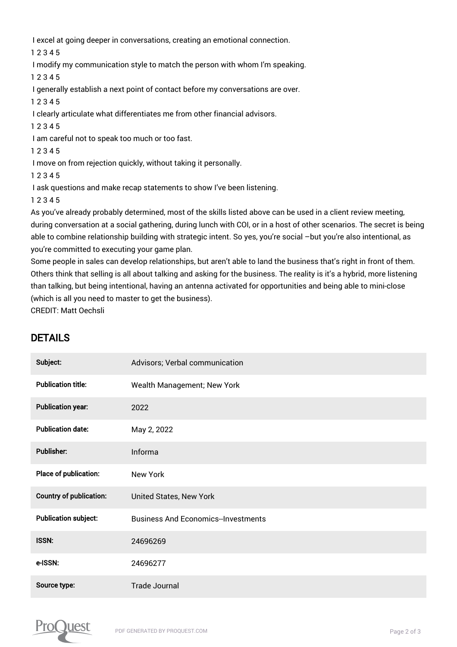I excel at going deeper in conversations, creating an emotional connection.

1 2 3 4 5

I modify my communication style to match the person with whom I'm speaking.

1 2 3 4 5

I generally establish a next point of contact before my conversations are over.

1 2 3 4 5

I clearly articulate what differentiates me from other financial advisors.

1 2 3 4 5

I am careful not to speak too much or too fast.

1 2 3 4 5

I move on from rejection quickly, without taking it personally.

1 2 3 4 5

I ask questions and make recap statements to show I've been listening.

1 2 3 4 5

As you've already probably determined, most of the skills listed above can be used in a client review meeting, during conversation at a social gathering, during lunch with COI, or in a host of other scenarios. The secret is being able to combine relationship building with strategic intent. So yes, you're social -but you're also intentional, as you're committed to executing your game plan.

Some people in sales can develop relationships, but aren't able to land the business that's right in front of them. Others think that selling is all about talking and asking for the business. The reality is it's a hybrid, more listening than talking, but being intentional, having an antenna activated for opportunities and being able to mini-close (which is all you need to master to get the business).

CREDIT: Matt Oechsli

## DETAILS

| Subject:                       | Advisors; Verbal communication            |
|--------------------------------|-------------------------------------------|
| <b>Publication title:</b>      | Wealth Management; New York               |
| <b>Publication year:</b>       | 2022                                      |
| <b>Publication date:</b>       | May 2, 2022                               |
| Publisher:                     | Informa                                   |
| Place of publication:          | New York                                  |
| <b>Country of publication:</b> | United States, New York                   |
| <b>Publication subject:</b>    | <b>Business And Economics-Investments</b> |
| <b>ISSN:</b>                   | 24696269                                  |
| e-ISSN:                        | 24696277                                  |
| Source type:                   | <b>Trade Journal</b>                      |